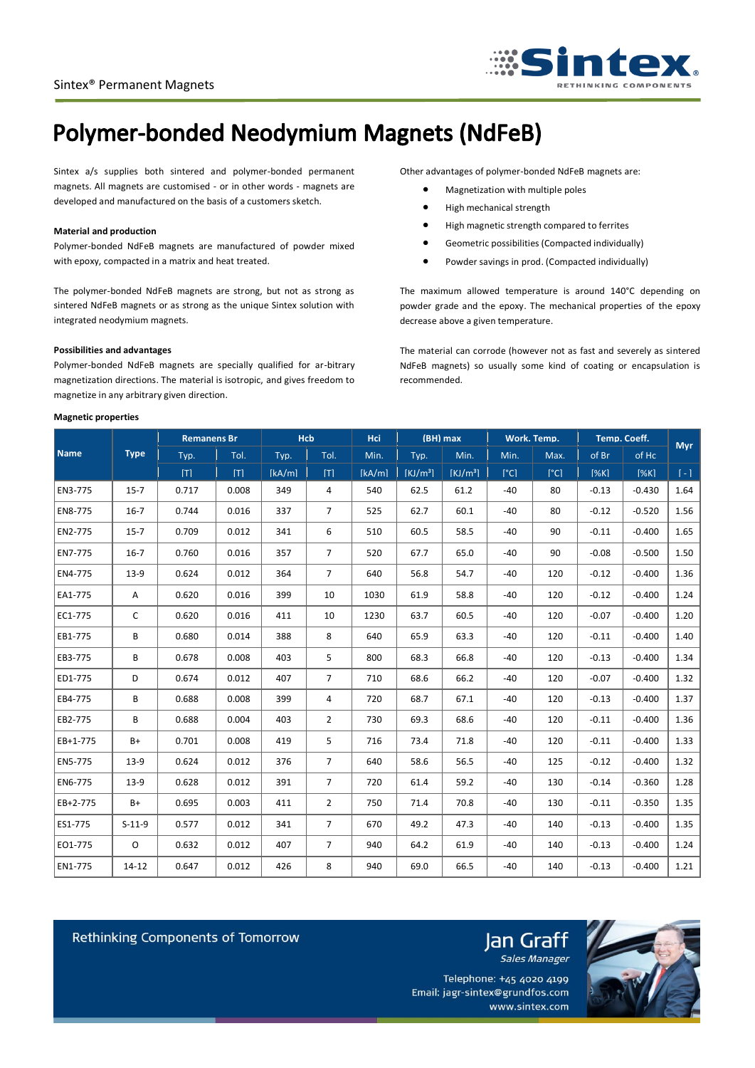

## **Polymer-bonded Neodymium Magnets (NdFeB)**

Sintex a/s supplies both sintered and polymer-bonded permanent magnets. All magnets are customised - or in other words - magnets are developed and manufactured on the basis of a customers sketch.

#### **Material and production**

Polymer-bonded NdFeB magnets are manufactured of powder mixed with epoxy, compacted in a matrix and heat treated.

The polymer-bonded NdFeB magnets are strong, but not as strong as sintered NdFeB magnets or as strong as the unique Sintex solution with integrated neodymium magnets.

#### **Possibilities and advantages**

Polymer-bonded NdFeB magnets are specially qualified for ar-bitrary magnetization directions. The material is isotropic, and gives freedom to magnetize in any arbitrary given direction.

#### **Magnetic properties**

Other advantages of polymer-bonded NdFeB magnets are:

- Magnetization with multiple poles
- High mechanical strength
- High magnetic strength compared to ferrites
- Geometric possibilities (Compacted individually)
- Powder savings in prod. (Compacted individually)

The maximum allowed temperature is around 140°C depending on powder grade and the epoxy. The mechanical properties of the epoxy decrease above a given temperature.

The material can corrode (however not as fast and severely as sintered NdFeB magnets) so usually some kind of coating or encapsulation is recommended.

| <b>Name</b> | <b>Type</b> | <b>Remanens Br</b> |       | <b>Hcb</b> |                 | <b>Hci</b> | $(BH)$ max           |                      | Work. Temp. |              | Temp. Coeff. |          | <b>Myr</b> |
|-------------|-------------|--------------------|-------|------------|-----------------|------------|----------------------|----------------------|-------------|--------------|--------------|----------|------------|
|             |             | Typ.               | Tol.  | Typ.       | Tol.            | Min.       | Typ.                 | Min.                 | Min.        | Max.         | of Br        | of Hc    |            |
|             |             | [T]                | [T]   | [kA/m]     | [T]             | [kA/m]     | [KJ/m <sup>3</sup> ] | [KJ/m <sup>3</sup> ] | [°C]        | $\lceil$ °Cl | [%K]         | [%K]     | $[-1]$     |
| EN3-775     | $15 - 7$    | 0.717              | 0.008 | 349        | 4               | 540        | 62.5                 | 61.2                 | $-40$       | 80           | $-0.13$      | $-0.430$ | 1.64       |
| EN8-775     | $16 - 7$    | 0.744              | 0.016 | 337        | $\overline{7}$  | 525        | 62.7                 | 60.1                 | $-40$       | 80           | $-0.12$      | $-0.520$ | 1.56       |
| EN2-775     | $15 - 7$    | 0.709              | 0.012 | 341        | 6               | 510        | 60.5                 | 58.5                 | $-40$       | 90           | $-0.11$      | $-0.400$ | 1.65       |
| EN7-775     | $16-7$      | 0.760              | 0.016 | 357        | $7^{\circ}$     | 520        | 67.7                 | 65.0                 | $-40$       | 90           | $-0.08$      | $-0.500$ | 1.50       |
| EN4-775     | $13-9$      | 0.624              | 0.012 | 364        | $\overline{7}$  | 640        | 56.8                 | 54.7                 | $-40$       | 120          | $-0.12$      | $-0.400$ | 1.36       |
| EA1-775     | A           | 0.620              | 0.016 | 399        | 10              | 1030       | 61.9                 | 58.8                 | $-40$       | 120          | $-0.12$      | $-0.400$ | 1.24       |
| EC1-775     | C           | 0.620              | 0.016 | 411        | 10              | 1230       | 63.7                 | 60.5                 | $-40$       | 120          | $-0.07$      | $-0.400$ | 1.20       |
| EB1-775     | В           | 0.680              | 0.014 | 388        | 8               | 640        | 65.9                 | 63.3                 | $-40$       | 120          | $-0.11$      | $-0.400$ | 1.40       |
| EB3-775     | В           | 0.678              | 0.008 | 403        | 5               | 800        | 68.3                 | 66.8                 | $-40$       | 120          | $-0.13$      | $-0.400$ | 1.34       |
| ED1-775     | D           | 0.674              | 0.012 | 407        | 7 <sup>1</sup>  | 710        | 68.6                 | 66.2                 | $-40$       | 120          | $-0.07$      | $-0.400$ | 1.32       |
| EB4-775     | B           | 0.688              | 0.008 | 399        | 4               | 720        | 68.7                 | 67.1                 | $-40$       | 120          | $-0.13$      | $-0.400$ | 1.37       |
| EB2-775     | B           | 0.688              | 0.004 | 403        | $\overline{2}$  | 730        | 69.3                 | 68.6                 | $-40$       | 120          | $-0.11$      | $-0.400$ | 1.36       |
| EB+1-775    | $B+$        | 0.701              | 0.008 | 419        | 5               | 716        | 73.4                 | 71.8                 | $-40$       | 120          | $-0.11$      | $-0.400$ | 1.33       |
| EN5-775     | $13-9$      | 0.624              | 0.012 | 376        | 7 <sup>7</sup>  | 640        | 58.6                 | 56.5                 | $-40$       | 125          | $-0.12$      | $-0.400$ | 1.32       |
| EN6-775     | $13-9$      | 0.628              | 0.012 | 391        | $7\overline{ }$ | 720        | 61.4                 | 59.2                 | $-40$       | 130          | $-0.14$      | $-0.360$ | 1.28       |
| EB+2-775    | B+          | 0.695              | 0.003 | 411        | $\overline{2}$  | 750        | 71.4                 | 70.8                 | $-40$       | 130          | $-0.11$      | $-0.350$ | 1.35       |
| ES1-775     | $S-11-9$    | 0.577              | 0.012 | 341        | $\overline{7}$  | 670        | 49.2                 | 47.3                 | $-40$       | 140          | $-0.13$      | $-0.400$ | 1.35       |
| EO1-775     | $\circ$     | 0.632              | 0.012 | 407        | $7\overline{ }$ | 940        | 64.2                 | 61.9                 | $-40$       | 140          | $-0.13$      | $-0.400$ | 1.24       |
| EN1-775     | $14 - 12$   | 0.647              | 0.012 | 426        | 8               | 940        | 69.0                 | 66.5                 | $-40$       | 140          | $-0.13$      | $-0.400$ | 1.21       |

Rethinking Components of Tomorrow

Telephone: +45 4020 4199 Email: jagr-sintex@grundfos.com www.sintex.com

Jan Graff Sales Manager